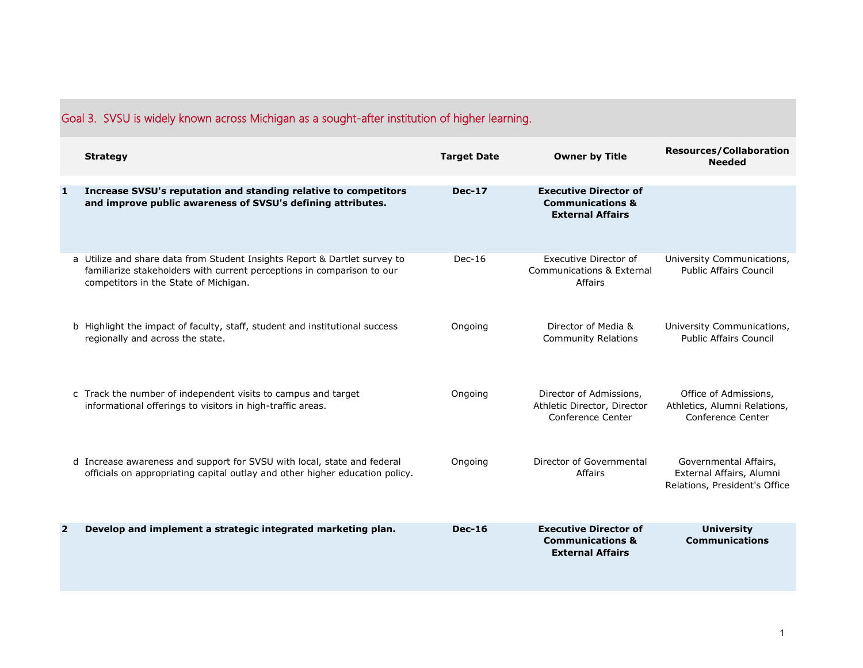|                | Goal 3. SVSU is widely known across Michigan as a sought-after institution of higher learning.                                                                                               |                    |                                                                                        |                                                                                    |  |  |
|----------------|----------------------------------------------------------------------------------------------------------------------------------------------------------------------------------------------|--------------------|----------------------------------------------------------------------------------------|------------------------------------------------------------------------------------|--|--|
|                | <b>Strategy</b>                                                                                                                                                                              | <b>Target Date</b> | <b>Owner by Title</b>                                                                  | <b>Resources/Collaboration</b><br><b>Needed</b>                                    |  |  |
| 1              | Increase SVSU's reputation and standing relative to competitors<br>and improve public awareness of SVSU's defining attributes.                                                               | <b>Dec-17</b>      | <b>Executive Director of</b><br><b>Communications &amp;</b><br><b>External Affairs</b> |                                                                                    |  |  |
|                | a Utilize and share data from Student Insights Report & Dartlet survey to<br>familiarize stakeholders with current perceptions in comparison to our<br>competitors in the State of Michigan. | $Dec-16$           | Executive Director of<br>Communications & External<br>Affairs                          | University Communications,<br><b>Public Affairs Council</b>                        |  |  |
|                | b Highlight the impact of faculty, staff, student and institutional success<br>regionally and across the state.                                                                              | Ongoing            | Director of Media &<br><b>Community Relations</b>                                      | University Communications,<br><b>Public Affairs Council</b>                        |  |  |
|                | c Track the number of independent visits to campus and target<br>informational offerings to visitors in high-traffic areas.                                                                  | Ongoing            | Director of Admissions,<br>Athletic Director, Director<br>Conference Center            | Office of Admissions,<br>Athletics, Alumni Relations,<br>Conference Center         |  |  |
|                | d Increase awareness and support for SVSU with local, state and federal<br>officials on appropriating capital outlay and other higher education policy.                                      | Ongoing            | Director of Governmental<br>Affairs                                                    | Governmental Affairs,<br>External Affairs, Alumni<br>Relations, President's Office |  |  |
| $\overline{2}$ | Develop and implement a strategic integrated marketing plan.                                                                                                                                 | <b>Dec-16</b>      | <b>Executive Director of</b><br><b>Communications &amp;</b><br><b>External Affairs</b> | <b>University</b><br><b>Communications</b>                                         |  |  |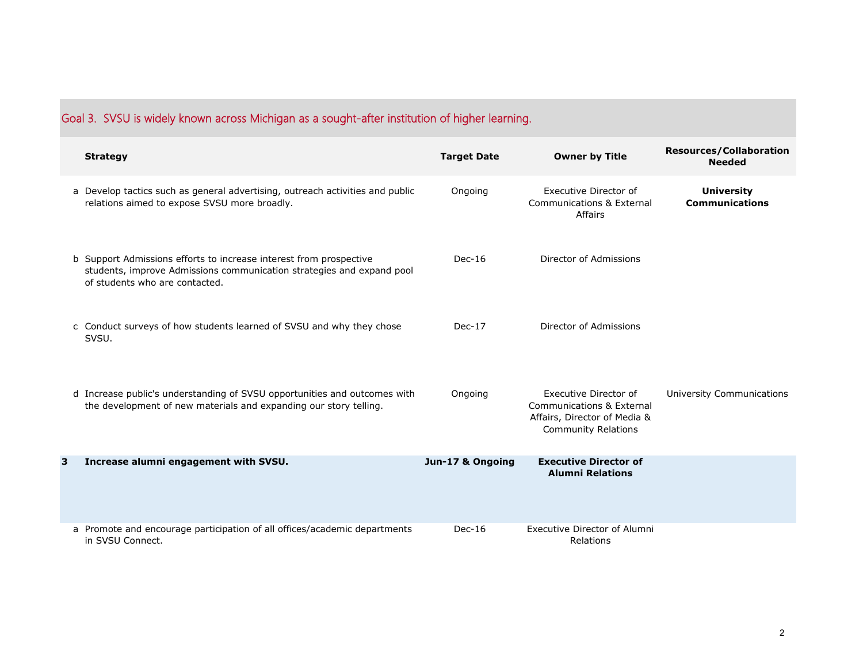|  |  |  | Goal 3. SVSU is widely known across Michigan as a sought-after institution of higher learning. |
|--|--|--|------------------------------------------------------------------------------------------------|
|  |  |  |                                                                                                |

|   | <b>Strategy</b>                                                                                                                                                               | <b>Target Date</b> | <b>Owner by Title</b>                                                                                            | <b>Resources/Collaboration</b><br><b>Needed</b> |
|---|-------------------------------------------------------------------------------------------------------------------------------------------------------------------------------|--------------------|------------------------------------------------------------------------------------------------------------------|-------------------------------------------------|
|   | a Develop tactics such as general advertising, outreach activities and public<br>relations aimed to expose SVSU more broadly.                                                 | Ongoing            | <b>Executive Director of</b><br><b>Communications &amp; External</b><br>Affairs                                  | <b>University</b><br><b>Communications</b>      |
|   | b Support Admissions efforts to increase interest from prospective<br>students, improve Admissions communication strategies and expand pool<br>of students who are contacted. | $Dec-16$           | Director of Admissions                                                                                           |                                                 |
|   | c Conduct surveys of how students learned of SVSU and why they chose<br>SVSU.                                                                                                 | $Dec-17$           | Director of Admissions                                                                                           |                                                 |
|   | d Increase public's understanding of SVSU opportunities and outcomes with<br>the development of new materials and expanding our story telling.                                | Ongoing            | Executive Director of<br>Communications & External<br>Affairs, Director of Media &<br><b>Community Relations</b> | University Communications                       |
| 3 | Increase alumni engagement with SVSU.                                                                                                                                         | Jun-17 & Ongoing   | <b>Executive Director of</b><br><b>Alumni Relations</b>                                                          |                                                 |
|   | a Promote and encourage participation of all offices/academic departments<br>in SVSU Connect.                                                                                 | $Dec-16$           | <b>Executive Director of Alumni</b><br>Relations                                                                 |                                                 |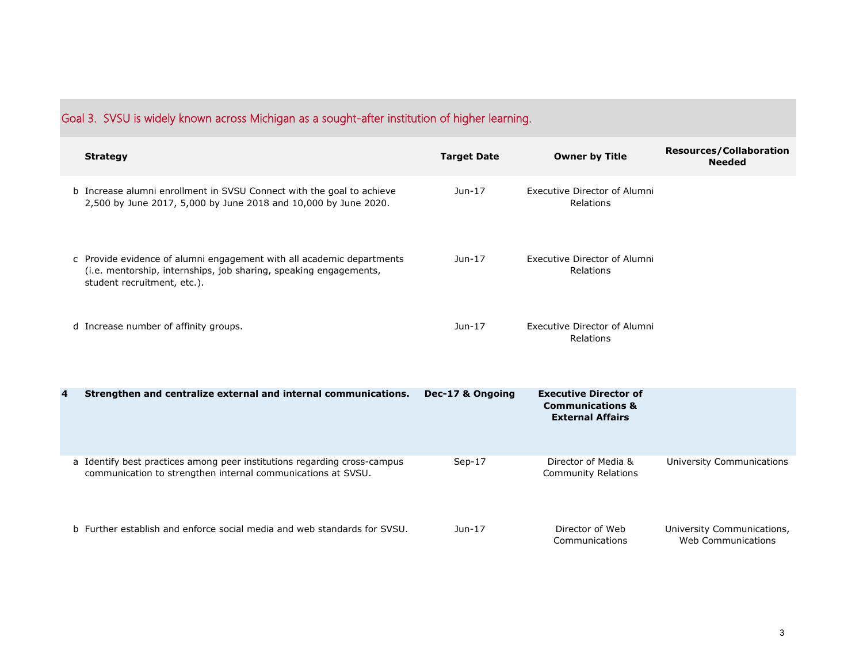| Goal 5. SYSO is widely known across ivilchigan as a sought-after institution of higher learning. |                                                                                                                                                                           |                    |                                                                                        |                                                  |  |
|--------------------------------------------------------------------------------------------------|---------------------------------------------------------------------------------------------------------------------------------------------------------------------------|--------------------|----------------------------------------------------------------------------------------|--------------------------------------------------|--|
|                                                                                                  | <b>Strategy</b>                                                                                                                                                           | <b>Target Date</b> | <b>Owner by Title</b>                                                                  | <b>Resources/Collaboration</b><br><b>Needed</b>  |  |
|                                                                                                  | b Increase alumni enrollment in SVSU Connect with the goal to achieve<br>2,500 by June 2017, 5,000 by June 2018 and 10,000 by June 2020.                                  | $Jun-17$           | <b>Executive Director of Alumni</b><br>Relations                                       |                                                  |  |
|                                                                                                  | c Provide evidence of alumni engagement with all academic departments<br>(i.e. mentorship, internships, job sharing, speaking engagements,<br>student recruitment, etc.). | Jun-17             | Executive Director of Alumni<br>Relations                                              |                                                  |  |
|                                                                                                  | d Increase number of affinity groups.                                                                                                                                     | $Jun-17$           | Executive Director of Alumni<br>Relations                                              |                                                  |  |
| 4                                                                                                | Strengthen and centralize external and internal communications.                                                                                                           | Dec-17 & Ongoing   | <b>Executive Director of</b><br><b>Communications &amp;</b><br><b>External Affairs</b> |                                                  |  |
|                                                                                                  | a Identify best practices among peer institutions regarding cross-campus<br>communication to strengthen internal communications at SVSU.                                  | $Sep-17$           | Director of Media &<br><b>Community Relations</b>                                      | <b>University Communications</b>                 |  |
|                                                                                                  | b Further establish and enforce social media and web standards for SVSU.                                                                                                  | Jun-17             | Director of Web<br>Communications                                                      | University Communications,<br>Web Communications |  |

## Goal 3. SVSU is widely known across Michigan as a sought-after institution of higher learning.